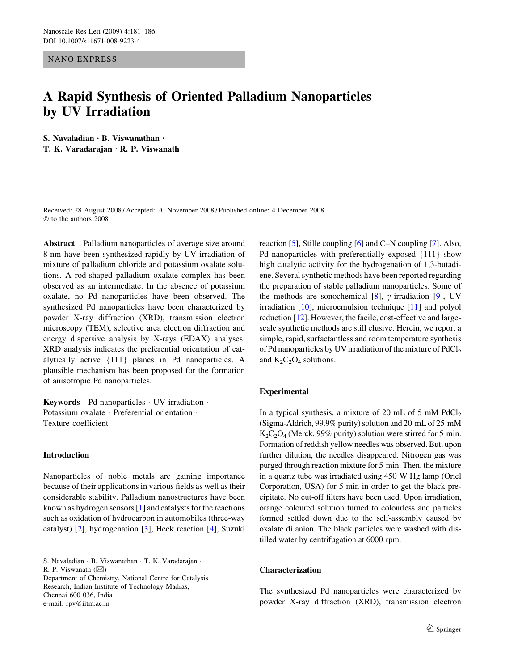NANO EXPRESS

# A Rapid Synthesis of Oriented Palladium Nanoparticles by UV Irradiation

S. Navaladian  $\cdot$  B. Viswanathan  $\cdot$ T. K. Varadarajan  $\cdot$  R. P. Viswanath

Received: 28 August 2008 / Accepted: 20 November 2008 / Published online: 4 December 2008  $©$  to the authors 2008

Abstract Palladium nanoparticles of average size around 8 nm have been synthesized rapidly by UV irradiation of mixture of palladium chloride and potassium oxalate solutions. A rod-shaped palladium oxalate complex has been observed as an intermediate. In the absence of potassium oxalate, no Pd nanoparticles have been observed. The synthesized Pd nanoparticles have been characterized by powder X-ray diffraction (XRD), transmission electron microscopy (TEM), selective area electron diffraction and energy dispersive analysis by X-rays (EDAX) analyses. XRD analysis indicates the preferential orientation of catalytically active {111} planes in Pd nanoparticles. A plausible mechanism has been proposed for the formation of anisotropic Pd nanoparticles.

**Keywords** Pd nanoparticles  $\cdot$  UV irradiation  $\cdot$ Potassium oxalate · Preferential orientation · Texture coefficient

## Introduction

Nanoparticles of noble metals are gaining importance because of their applications in various fields as well as their considerable stability. Palladium nanostructures have been known as hydrogen sensors [[1](#page-4-0)] and catalysts for the reactions such as oxidation of hydrocarbon in automobiles (three-way catalyst) [[2\]](#page-4-0), hydrogenation [[3](#page-4-0)], Heck reaction [\[4](#page-4-0)], Suzuki

S. Navaladian · B. Viswanathan · T. K. Varadarajan ·

R. P. Viswanath  $(\boxtimes)$ 

Department of Chemistry, National Centre for Catalysis Research, Indian Institute of Technology Madras, Chennai 600 036, India e-mail: rpv@iitm.ac.in

reaction [\[5\]](#page-4-0), Stille coupling [\[6](#page-4-0)] and C–N coupling [[7\]](#page-4-0). Also, Pd nanoparticles with preferentially exposed {111} show high catalytic activity for the hydrogenation of 1,3-butadiene. Several synthetic methods have been reported regarding the preparation of stable palladium nanoparticles. Some of the methods are sonochemical [[8\]](#page-4-0),  $\gamma$ -irradiation [\[9](#page-4-0)], UV irradiation [[10\]](#page-4-0), microemulsion technique [[11\]](#page-4-0) and polyol reduction [\[12](#page-4-0)]. However, the facile, cost-effective and largescale synthetic methods are still elusive. Herein, we report a simple, rapid, surfactantless and room temperature synthesis of Pd nanoparticles by UV irradiation of the mixture of  $PdCl<sub>2</sub>$ and  $K_2C_2O_4$  solutions.

## Experimental

In a typical synthesis, a mixture of 20 mL of 5 mM  $PdCl<sub>2</sub>$ (Sigma-Aldrich, 99.9% purity) solution and 20 mL of 25 mM  $K_2C_2O_4$  (Merck, 99% purity) solution were stirred for 5 min. Formation of reddish yellow needles was observed. But, upon further dilution, the needles disappeared. Nitrogen gas was purged through reaction mixture for 5 min. Then, the mixture in a quartz tube was irradiated using 450 W Hg lamp (Oriel Corporation, USA) for 5 min in order to get the black precipitate. No cut-off filters have been used. Upon irradiation, orange coloured solution turned to colourless and particles formed settled down due to the self-assembly caused by oxalate di anion. The black particles were washed with distilled water by centrifugation at 6000 rpm.

### Characterization

The synthesized Pd nanoparticles were characterized by powder X-ray diffraction (XRD), transmission electron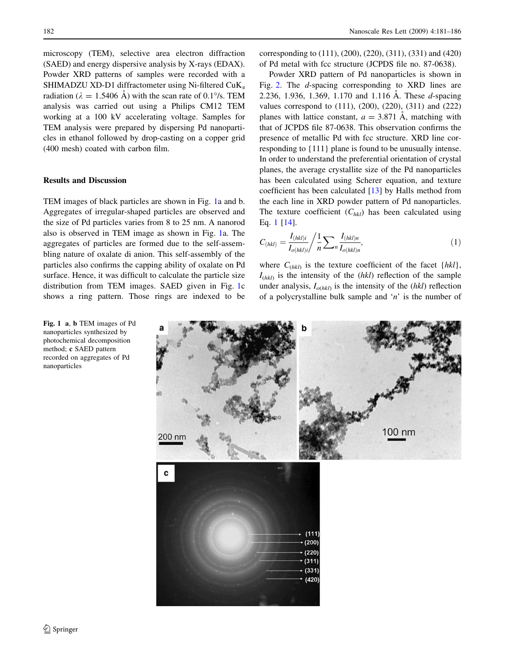microscopy (TEM), selective area electron diffraction (SAED) and energy dispersive analysis by X-rays (EDAX). Powder XRD patterns of samples were recorded with a SHIMADZU XD-D1 diffractometer using Ni-filtered  $CuK<sub>α</sub>$ radiation ( $\lambda = 1.5406$  Å) with the scan rate of 0.1°/s. TEM analysis was carried out using a Philips CM12 TEM working at a 100 kV accelerating voltage. Samples for TEM analysis were prepared by dispersing Pd nanoparticles in ethanol followed by drop-casting on a copper grid (400 mesh) coated with carbon film.

## Results and Discussion

Fig. 1 a, b TEM images of Pd nanoparticles synthesized by photochemical decomposition method; c SAED pattern recorded on aggregates of Pd

nanoparticles

TEM images of black particles are shown in Fig. 1a and b. Aggregates of irregular-shaped particles are observed and the size of Pd particles varies from 8 to 25 nm. A nanorod also is observed in TEM image as shown in Fig. 1a. The aggregates of particles are formed due to the self-assembling nature of oxalate di anion. This self-assembly of the particles also confirms the capping ability of oxalate on Pd surface. Hence, it was difficult to calculate the particle size distribution from TEM images. SAED given in Fig. 1c shows a ring pattern. Those rings are indexed to be corresponding to (111), (200), (220), (311), (331) and (420) of Pd metal with fcc structure (JCPDS file no. 87-0638).

Powder XRD pattern of Pd nanoparticles is shown in Fig. [2](#page-2-0). The d-spacing corresponding to XRD lines are 2.236, 1.936, 1.369, 1.170 and 1.116 A. These d-spacing values correspond to (111), (200), (220), (311) and (222) planes with lattice constant,  $a = 3.871$  Å, matching with that of JCPDS file 87-0638. This observation confirms the presence of metallic Pd with fcc structure. XRD line corresponding to {111} plane is found to be unusually intense. In order to understand the preferential orientation of crystal planes, the average crystallite size of the Pd nanoparticles has been calculated using Scherer equation, and texture coefficient has been calculated [[13\]](#page-4-0) by Halls method from the each line in XRD powder pattern of Pd nanoparticles. The texture coefficient  $(C_{hkl})$  has been calculated using Eq. 1 [[14\]](#page-4-0).

$$
C_{(hkl)} = \frac{I_{(hkl)i}}{I_{o(hkl)i}} / \frac{1}{n} \sum_{n} \frac{I_{(hkl)n}}{I_{o(hkl)n}},
$$
\n(1)

where  $C_{(hkl)}$  is the texture coefficient of the facet  $\{hkl\}$ ,  $I_{(hkl)}$  is the intensity of the  $(hkl)$  reflection of the sample under analysis,  $I_{o(hkl)}$  is the intensity of the  $(hkl)$  reflection of a polycrystalline bulk sample and 'n' is the number of

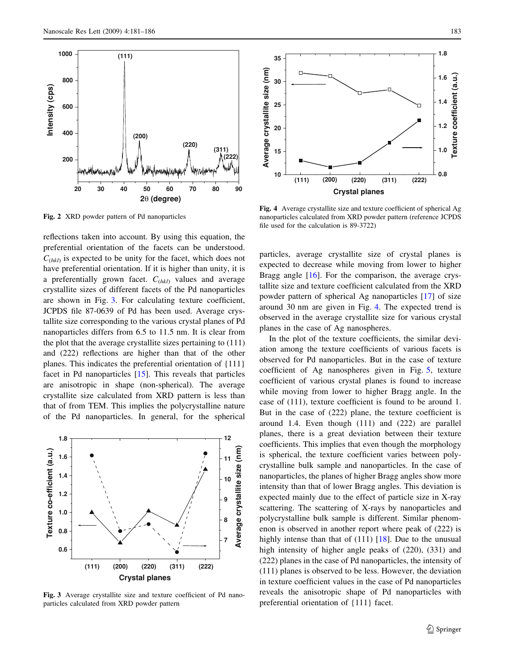**(111)**

**200**

**400**

**600**

**Intensity (cps)**

ntensity (cps)

**800**

<span id="page-2-0"></span>**1000**

Fig. 2 XRD powder pattern of Pd nanoparticles

reflections taken into account. By using this equation, the preferential orientation of the facets can be understood.  $C_{(hkl)}$  is expected to be unity for the facet, which does not have preferential orientation. If it is higher than unity, it is a preferentially grown facet.  $C_{(hkl)}$  values and average crystallite sizes of different facets of the Pd nanoparticles are shown in Fig. 3. For calculating texture coefficient, JCPDS file 87-0639 of Pd has been used. Average crystallite size corresponding to the various crystal planes of Pd nanoparticles differs from 6.5 to 11.5 nm. It is clear from the plot that the average crystallite sizes pertaining to (111) and (222) reflections are higher than that of the other planes. This indicates the preferential orientation of {111} facet in Pd nanoparticles [[15\]](#page-4-0). This reveals that particles are anisotropic in shape (non-spherical). The average crystallite size calculated from XRD pattern is less than that of from TEM. This implies the polycrystalline nature of the Pd nanoparticles. In general, for the spherical

**20 30 40 50 60 70 80 90**

**2**θ **(degree)**

**(200)**

**(222)**

**(311) (220)**



Fig. 3 Average crystallite size and texture coefficient of Pd nanoparticles calculated from XRD powder pattern



Fig. 4 Average crystallite size and texture coefficient of spherical Ag nanoparticles calculated from XRD powder pattern (reference JCPDS file used for the calculation is 89-3722)

particles, average crystallite size of crystal planes is expected to decrease while moving from lower to higher Bragg angle [\[16](#page-4-0)]. For the comparison, the average crystallite size and texture coefficient calculated from the XRD powder pattern of spherical Ag nanoparticles [[17\]](#page-4-0) of size around 30 nm are given in Fig. 4. The expected trend is observed in the average crystallite size for various crystal planes in the case of Ag nanospheres.

In the plot of the texture coefficients, the similar deviation among the texture coefficients of various facets is observed for Pd nanoparticles. But in the case of texture coefficient of Ag nanospheres given in Fig. [5,](#page-3-0) texture coefficient of various crystal planes is found to increase while moving from lower to higher Bragg angle. In the case of (111), texture coefficient is found to be around 1. But in the case of (222) plane, the texture coefficient is around 1.4. Even though (111) and (222) are parallel planes, there is a great deviation between their texture coefficients. This implies that even though the morphology is spherical, the texture coefficient varies between polycrystalline bulk sample and nanoparticles. In the case of nanoparticles, the planes of higher Bragg angles show more intensity than that of lower Bragg angles. This deviation is expected mainly due to the effect of particle size in X-ray scattering. The scattering of X-rays by nanoparticles and polycrystalline bulk sample is different. Similar phenomenon is observed in another report where peak of (222) is highly intense than that of  $(111)$   $[18]$  $[18]$ . Due to the unusual high intensity of higher angle peaks of (220), (331) and (222) planes in the case of Pd nanoparticles, the intensity of (111) planes is observed to be less. However, the deviation in texture coefficient values in the case of Pd nanoparticles reveals the anisotropic shape of Pd nanoparticles with preferential orientation of {111} facet.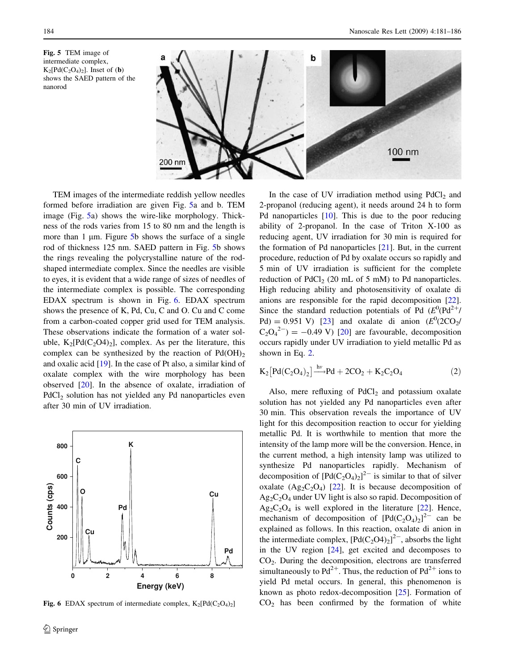<span id="page-3-0"></span>Fig. 5 TEM image of intermediate complex,  $K_2[Pd(C_2O_4)_2]$ . Inset of (b) shows the SAED pattern of the nanorod



TEM images of the intermediate reddish yellow needles formed before irradiation are given Fig. 5a and b. TEM image (Fig. 5a) shows the wire-like morphology. Thickness of the rods varies from 15 to 80 nm and the length is more than 1  $\mu$ m. Figure 5b shows the surface of a single rod of thickness 125 nm. SAED pattern in Fig. 5b shows the rings revealing the polycrystalline nature of the rodshaped intermediate complex. Since the needles are visible to eyes, it is evident that a wide range of sizes of needles of the intermediate complex is possible. The corresponding EDAX spectrum is shown in Fig. 6. EDAX spectrum shows the presence of K, Pd, Cu, C and O. Cu and C come from a carbon-coated copper grid used for TEM analysis. These observations indicate the formation of a water soluble,  $K_2[Pd(C_2O4)_2]$ , complex. As per the literature, this complex can be synthesized by the reaction of  $Pd(OH)_{2}$ and oxalic acid [\[19](#page-4-0)]. In the case of Pt also, a similar kind of oxalate complex with the wire morphology has been observed [[20\]](#page-4-0). In the absence of oxalate, irradiation of PdCl<sub>2</sub> solution has not yielded any Pd nanoparticles even after 30 min of UV irradiation.



Fig. 6 EDAX spectrum of intermediate complex,  $K_2[Pd(C_2O_4)_2]$ 

In the case of UV irradiation method using  $PdCl<sub>2</sub>$  and 2-propanol (reducing agent), it needs around 24 h to form Pd nanoparticles [[10\]](#page-4-0). This is due to the poor reducing ability of 2-propanol. In the case of Triton X-100 as reducing agent, UV irradiation for 30 min is required for the formation of Pd nanoparticles [[21\]](#page-4-0). But, in the current procedure, reduction of Pd by oxalate occurs so rapidly and 5 min of UV irradiation is sufficient for the complete reduction of PdCl<sub>2</sub> (20 mL of 5 mM) to Pd nanoparticles. High reducing ability and photosensitivity of oxalate di anions are responsible for the rapid decomposition [\[22](#page-4-0)]. Since the standard reduction potentials of Pd  $(E^0(\text{Pd}^2+)$ Pd) = 0.951 V) [[23\]](#page-4-0) and oxalate di anion  $(E^0(2CO_2/\text{C}))$  $C_2O_4^{2-}$ ) = -0.49 V) [\[20](#page-4-0)] are favourable, decomposition occurs rapidly under UV irradiation to yield metallic Pd as shown in Eq. 2.

$$
K_2[Pd(C_2O_4)_2] \xrightarrow{hv} Pd + 2CO_2 + K_2C_2O_4 \tag{2}
$$

Also, mere refluxing of  $PdCl<sub>2</sub>$  and potassium oxalate solution has not yielded any Pd nanoparticles even after 30 min. This observation reveals the importance of UV light for this decomposition reaction to occur for yielding metallic Pd. It is worthwhile to mention that more the intensity of the lamp more will be the conversion. Hence, in the current method, a high intensity lamp was utilized to synthesize Pd nanoparticles rapidly. Mechanism of decomposition of  $[Pd(C_2O_4)_2]^{2-}$  is similar to that of silver oxalate  $(Ag_2C_2O_4)$  [\[22](#page-4-0)]. It is because decomposition of  $Ag_2C_2O_4$  under UV light is also so rapid. Decomposition of  $Ag_2C_2O_4$  is well explored in the literature [[22\]](#page-4-0). Hence, mechanism of decomposition of  $[Pd(C_2O_4)_2]^{2-}$  can be explained as follows. In this reaction, oxalate di anion in the intermediate complex,  $[Pd(C_2O4)_2]^{2-}$ , absorbs the light in the UV region [\[24](#page-4-0)], get excited and decomposes to CO2. During the decomposition, electrons are transferred simultaneously to  $Pd^{2+}$ . Thus, the reduction of  $Pd^{2+}$  ions to yield Pd metal occurs. In general, this phenomenon is known as photo redox-decomposition [[25\]](#page-5-0). Formation of  $CO<sub>2</sub>$  has been confirmed by the formation of white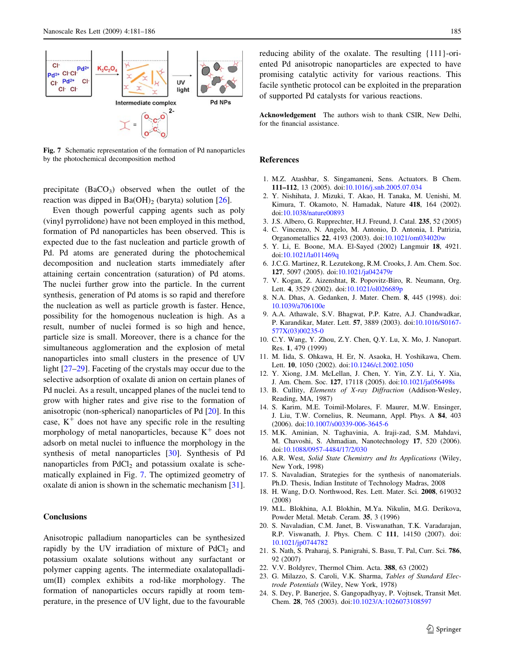<span id="page-4-0"></span>

Fig. 7 Schematic representation of the formation of Pd nanoparticles by the photochemical decomposition method

precipitate  $(BaCO<sub>3</sub>)$  observed when the outlet of the reaction was dipped in  $Ba(OH)_2$  (baryta) solution [[26\]](#page-5-0).

Even though powerful capping agents such as poly (vinyl pyrrolidone) have not been employed in this method, formation of Pd nanoparticles has been observed. This is expected due to the fast nucleation and particle growth of Pd. Pd atoms are generated during the photochemical decomposition and nucleation starts immediately after attaining certain concentration (saturation) of Pd atoms. The nuclei further grow into the particle. In the current synthesis, generation of Pd atoms is so rapid and therefore the nucleation as well as particle growth is faster. Hence, possibility for the homogenous nucleation is high. As a result, number of nuclei formed is so high and hence, particle size is small. Moreover, there is a chance for the simultaneous agglomeration and the explosion of metal nanoparticles into small clusters in the presence of UV light  $[27-29]$ . Faceting of the crystals may occur due to the selective adsorption of oxalate di anion on certain planes of Pd nuclei. As a result, uncapped planes of the nuclei tend to grow with higher rates and give rise to the formation of anisotropic (non-spherical) nanoparticles of Pd [20]. In this case,  $K^+$  does not have any specific role in the resulting morphology of metal nanoparticles, because  $K^+$  does not adsorb on metal nuclei to influence the morphology in the synthesis of metal nanoparticles [[30\]](#page-5-0). Synthesis of Pd nanoparticles from  $PdCl<sub>2</sub>$  and potassium oxalate is schematically explained in Fig. 7. The optimized geometry of oxalate di anion is shown in the schematic mechanism [\[31](#page-5-0)].

## **Conclusions**

Anisotropic palladium nanoparticles can be synthesized rapidly by the UV irradiation of mixture of  $PdCl<sub>2</sub>$  and potassium oxalate solutions without any surfactant or polymer capping agents. The intermediate oxalatopalladium(II) complex exhibits a rod-like morphology. The formation of nanoparticles occurs rapidly at room temperature, in the presence of UV light, due to the favourable reducing ability of the oxalate. The resulting {111}-oriented Pd anisotropic nanoparticles are expected to have promising catalytic activity for various reactions. This facile synthetic protocol can be exploited in the preparation of supported Pd catalysts for various reactions.

Acknowledgement The authors wish to thank CSIR, New Delhi, for the financial assistance.

#### References

- 1. M.Z. Atashbar, S. Singamaneni, Sens. Actuators. B Chem. 111–112, 13 (2005). doi[:10.1016/j.snb.2005.07.034](http://dx.doi.org/10.1016/j.snb.2005.07.034)
- 2. Y. Nishihata, J. Mizuki, T. Akao, H. Tanaka, M. Uenishi, M. Kimura, T. Okamoto, N. Hamadak, Nature 418, 164 (2002). doi:[10.1038/nature00893](http://dx.doi.org/10.1038/nature00893)
- 3. J.S. Albero, G. Rupprechter, H.J. Freund, J. Catal. 235, 52 (2005)
- 4. C. Vincenzo, N. Angelo, M. Antonio, D. Antonia, I. Patrizia, Organometallics 22, 4193 (2003). doi:[10.1021/om034020w](http://dx.doi.org/10.1021/om034020w)
- 5. Y. Li, E. Boone, M.A. El-Sayed (2002) Langmuir 18, 4921. doi:[10.1021/la011469q](http://dx.doi.org/10.1021/la011469q)
- 6. J.C.G. Martinez, R. Lezutekong, R.M. Crooks, J. Am. Chem. Soc. 127, 5097 (2005). doi:[10.1021/ja042479r](http://dx.doi.org/10.1021/ja042479r)
- 7. V. Kogan, Z. Aizenshtat, R. Popovitz-Biro, R. Neumann, Org. Lett. 4, 3529 (2002). doi[:10.1021/ol026689p](http://dx.doi.org/10.1021/ol026689p)
- 8. N.A. Dhas, A. Gedanken, J. Mater. Chem. 8, 445 (1998). doi: [10.1039/a706100e](http://dx.doi.org/10.1039/a706100e)
- 9. A.A. Athawale, S.V. Bhagwat, P.P. Katre, A.J. Chandwadkar, P. Karandikar, Mater. Lett. 57, 3889 (2003). doi:[10.1016/S0167-](http://dx.doi.org/10.1016/S0167-577X(03)00235-0) [577X\(03\)00235-0](http://dx.doi.org/10.1016/S0167-577X(03)00235-0)
- 10. C.Y. Wang, Y. Zhou, Z.Y. Chen, Q.Y. Lu, X. Mo, J. Nanopart. Res. 1, 479 (1999)
- 11. M. Iida, S. Ohkawa, H. Er, N. Asaoka, H. Yoshikawa, Chem. Lett. 10, 1050 (2002). doi[:10.1246/cl.2002.1050](http://dx.doi.org/10.1246/cl.2002.1050)
- 12. Y. Xiong, J.M. McLellan, J. Chen, Y. Yin, Z.Y. Li, Y. Xia, J. Am. Chem. Soc. 127, 17118 (2005). doi:[10.1021/ja056498s](http://dx.doi.org/10.1021/ja056498s)
- 13. B. Cullity, Elements of X-ray Diffraction (Addison-Wesley, Reading, MA, 1987)
- 14. S. Karim, M.E. Toimil-Molares, F. Maurer, M.W. Ensinger, J. Liu, T.W. Cornelius, R. Neumann, Appl. Phys. A 84, 403 (2006). doi[:10.1007/s00339-006-3645-6](http://dx.doi.org/10.1007/s00339-006-3645-6)
- 15. M.K. Aminian, N. Taghavinia, A. Iraji-zad, S.M. Mahdavi, M. Chavoshi, S. Ahmadian, Nanotechnology 17, 520 (2006). doi:[10.1088/0957-4484/17/2/030](http://dx.doi.org/10.1088/0957-4484/17/2/030)
- 16. A.R. West, Solid State Chemistry and Its Applications (Wiley, New York, 1998)
- 17. S. Navaladian, Strategies for the synthesis of nanomaterials. Ph.D. Thesis, Indian Institute of Technology Madras, 2008
- 18. H. Wang, D.O. Northwood, Res. Lett. Mater. Sci. 2008, 619032 (2008)
- 19. M.L. Blokhina, A.I. Blokhin, M.Ya. Nikulin, M.G. Derikova, Powder Metal. Metab. Ceram. 35, 3 (1996)
- 20. S. Navaladian, C.M. Janet, B. Viswanathan, T.K. Varadarajan, R.P. Viswanath, J. Phys. Chem. C 111, 14150 (2007). doi: [10.1021/jp0744782](http://dx.doi.org/10.1021/jp0744782)
- 21. S. Nath, S. Praharaj, S. Panigrahi, S. Basu, T. Pal, Curr. Sci. 786, 92 (2007)
- 22. V.V. Boldyrev, Thermol Chim. Acta. 388, 63 (2002)
- 23. G. Milazzo, S. Caroli, V.K. Sharma, Tables of Standard Electrode Potentials (Wiley, New York, 1978)
- 24. S. Dey, P. Banerjee, S. Gangopadhyay, P. Vojtısek, Transit Met. Chem. 28, 765 (2003). doi:[10.1023/A:1026073108597](http://dx.doi.org/10.1023/A:1026073108597)